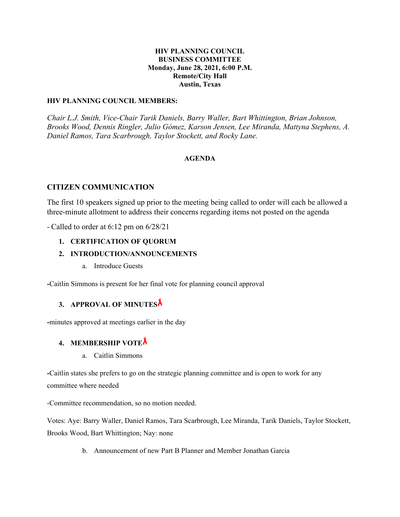## **HIV PLANNING COUNCIL BUSINESS COMMITTEE Monday, June 28, 2021, 6:00 P.M. Remote/City Hall Austin, Texas**

### **HIV PLANNING COUNCIL MEMBERS:**

*Chair L.J. Smith, Vice-Chair Tarik Daniels, Barry Waller, Bart Whittington, Brian Johnson, Brooks Wood, Dennis Ringler, Julio Gómez, Karson Jensen, Lee Miranda, Mattyna Stephens, A. Daniel Ramos, Tara Scarbrough, Taylor Stockett, and Rocky Lane.* 

### **AGENDA**

# **CITIZEN COMMUNICATION**

The first 10 speakers signed up prior to the meeting being called to order will each be allowed a three-minute allotment to address their concerns regarding items not posted on the agenda

- Called to order at 6:12 pm on 6/28/21

### **1. CERTIFICATION OF QUORUM**

### **2. INTRODUCTION/ANNOUNCEMENTS**

a. Introduce Guests

**-**Caitlin Simmons is present for her final vote for planning council approval

# **3. APPROVAL OF MINUTES**

**-**minutes approved at meetings earlier in the day

# **4. MEMBERSHIP VOTE**

a. Caitlin Simmons

**-**Caitlin states she prefers to go on the strategic planning committee and is open to work for any committee where needed

-Committee recommendation, so no motion needed.

Votes: Aye: Barry Waller, Daniel Ramos, Tara Scarbrough, Lee Miranda, Tarik Daniels, Taylor Stockett, Brooks Wood, Bart Whittington; Nay: none

b. Announcement of new Part B Planner and Member Jonathan Garcia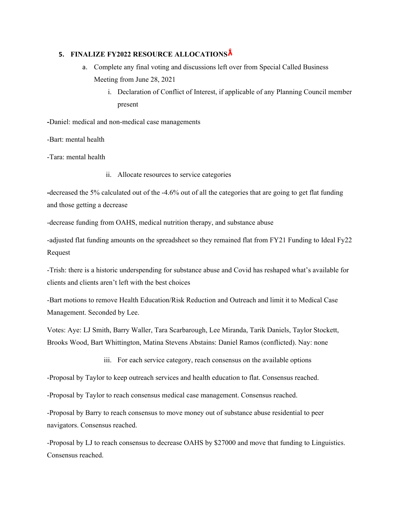# **5. FINALIZE FY2022 RESOURCE ALLOCATIONS**

- a. Complete any final voting and discussions left over from Special Called Business Meeting from June 28, 2021
	- i. Declaration of Conflict of Interest, if applicable of any Planning Council member present

**-**Daniel: medical and non-medical case managements

-Bart: mental health

-Tara: mental health

ii. Allocate resources to service categories

**-**decreased the 5% calculated out of the -4.6% out of all the categories that are going to get flat funding and those getting a decrease

-decrease funding from OAHS, medical nutrition therapy, and substance abuse

-adjusted flat funding amounts on the spreadsheet so they remained flat from FY21 Funding to Ideal Fy22 Request

-Trish: there is a historic underspending for substance abuse and Covid has reshaped what's available for clients and clients aren't left with the best choices

-Bart motions to remove Health Education/Risk Reduction and Outreach and limit it to Medical Case Management. Seconded by Lee.

Votes: Aye: LJ Smith, Barry Waller, Tara Scarbarough, Lee Miranda, Tarik Daniels, Taylor Stockett, Brooks Wood, Bart Whittington, Matina Stevens Abstains: Daniel Ramos (conflicted). Nay: none

iii. For each service category, reach consensus on the available options

-Proposal by Taylor to keep outreach services and health education to flat. Consensus reached.

-Proposal by Taylor to reach consensus medical case management. Consensus reached.

-Proposal by Barry to reach consensus to move money out of substance abuse residential to peer navigators. Consensus reached.

-Proposal by LJ to reach consensus to decrease OAHS by \$27000 and move that funding to Linguistics. Consensus reached.